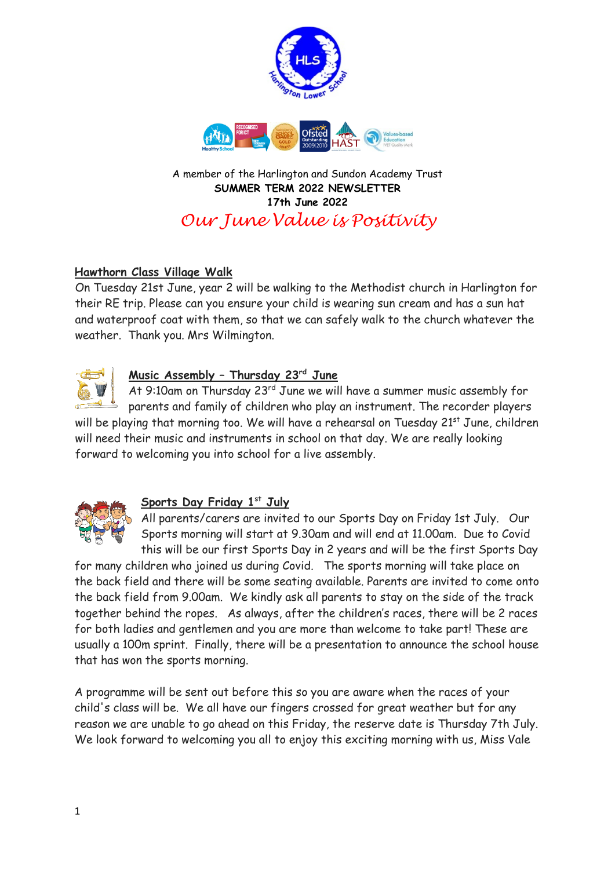

**SUMMER TERM 2022 NEWSLETTER 17th June 2022** *Our June Value is Positivity* 

## **Hawthorn Class Village Walk**

On Tuesday 21st June, year 2 will be walking to the Methodist church in Harlington for their RE trip. Please can you ensure your child is wearing sun cream and has a sun hat and waterproof coat with them, so that we can safely walk to the church whatever the weather. Thank you. Mrs Wilmington.



# **Music Assembly – Thursday 23rd June**

At 9:10am on Thursday 23<sup>rd</sup> June we will have a summer music assembly for parents and family of children who play an instrument. The recorder players will be playing that morning too. We will have a rehearsal on Tuesday 21<sup>st</sup> June, children will need their music and instruments in school on that day. We are really looking forward to welcoming you into school for a live assembly.



## **Sports Day Friday 1st July**

All parents/carers are invited to our Sports Day on Friday 1st July. Our Sports morning will start at 9.30am and will end at 11.00am. Due to Covid this will be our first Sports Day in 2 years and will be the first Sports Day

for many children who joined us during Covid. The sports morning will take place on the back field and there will be some seating available. Parents are invited to come onto the back field from 9.00am. We kindly ask all parents to stay on the side of the track together behind the ropes. As always, after the children's races, there will be 2 races for both ladies and gentlemen and you are more than welcome to take part! These are usually a 100m sprint. Finally, there will be a presentation to announce the school house that has won the sports morning.

A programme will be sent out before this so you are aware when the races of your child's class will be. We all have our fingers crossed for great weather but for any reason we are unable to go ahead on this Friday, the reserve date is Thursday 7th July. We look forward to welcoming you all to enjoy this exciting morning with us, Miss Vale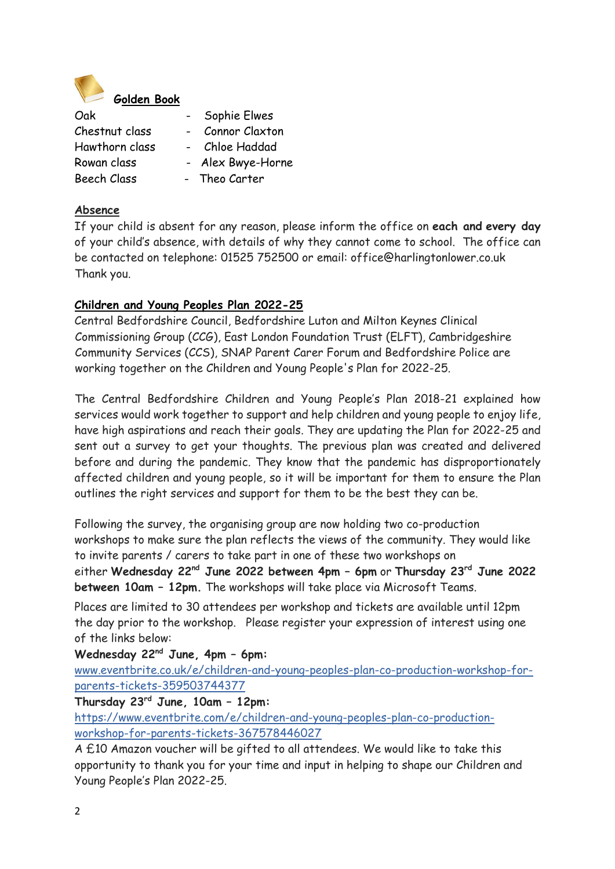

| Oak                | Sophie Elwes<br>$\blacksquare$ |
|--------------------|--------------------------------|
| Chestnut class     | Connor Claxton                 |
| Hawthorn class     | - Chloe Haddad                 |
| Rowan class        | Alex Bwye-Horne                |
| <b>Beech Class</b> | - Theo Carter                  |

#### **Absence**

If your child is absent for any reason, please inform the office on **each and every day** of your child's absence, with details of why they cannot come to school. The office can be contacted on telephone: 01525 752500 or email: office@harlingtonlower.co.uk Thank you.

## **Children and Young Peoples Plan 2022-25**

Central Bedfordshire Council, Bedfordshire Luton and Milton Keynes Clinical Commissioning Group (CCG), East London Foundation Trust (ELFT), Cambridgeshire Community Services (CCS), SNAP Parent Carer Forum and Bedfordshire Police are working together on the Children and Young People's Plan for 2022-25.

The Central Bedfordshire Children and Young People's Plan 2018-21 explained how services would work together to support and help children and young people to enjoy life, have high aspirations and reach their goals. They are updating the Plan for 2022-25 and sent out a survey to get your thoughts. The previous plan was created and delivered before and during the pandemic. They know that the pandemic has disproportionately affected children and young people, so it will be important for them to ensure the Plan outlines the right services and support for them to be the best they can be.

Following the survey, the organising group are now holding two co-production workshops to make sure the plan reflects the views of the community. They would like to invite parents / carers to take part in one of these two workshops on

either **Wednesday 22nd June 2022 between 4pm – 6pm** or **Thursday 23rd June 2022 between 10am – 12pm.** The workshops will take place via Microsoft Teams.

Places are limited to 30 attendees per workshop and tickets are available until 12pm the day prior to the workshop. Please register your expression of interest using one of the links below:

## **Wednesday 22nd June, 4pm – 6pm:**

[www.eventbrite.co.uk/e/children-and-young-peoples-plan-co-production-workshop-for](https://lnks.gd/l/eyJhbGciOiJIUzI1NiJ9.eyJidWxsZXRpbl9saW5rX2lkIjoxMDAsInVyaSI6ImJwMjpjbGljayIsImJ1bGxldGluX2lkIjoiMjAyMjA2MTYuNTk0OTY5MTEiLCJ1cmwiOiJodHRwczovL2V1cjAyLnNhZmVsaW5rcy5wcm90ZWN0aW9uLm91dGxvb2suY29tLz91cmw9aHR0cCUzQSUyRiUyRnd3dy5ldmVudGJyaXRlLmNvLnVrJTJGZSUyRmNoaWxkcmVuLWFuZC15b3VuZy1wZW9wbGVzLXBsYW4tY28tcHJvZHVjdGlvbi13b3Jrc2hvcC1mb3ItcGFyZW50cy10aWNrZXRzLTM1OTUwMzc0NDM3NyZkYXRhPTA1JTdDMDElN0NBbmlzYS5OYXNpciU0MGNlbnRyYWxiZWRmb3Jkc2hpcmUuZ292LnVrJTdDYzI4MGFmOTJkNGVhNDA2M2Q2YzAwOGRhNGY4NjQyNmElN0MyMWQ4YTFlZTA3ODc0Mzc0YjI1OTRlODcwNThhZmYxNSU3QzAlN0MwJTdDNjM3OTA5NzM1Mjk3MDcwMzMzJTdDVW5rbm93biU3Q1RXRnBiR1pzYjNkOGV5SldJam9pTUM0d0xqQXdNREFpTENKUUlqb2lWMmx1TXpJaUxDSkJUaUk2SWsxaGFXd2lMQ0pYVkNJNk1uMCUzRCU3QzMwMDAlN0MlN0MlN0Mmc2RhdGE9Nm5kSXN4T2RVOHNlV21qMGlvOXJGbmxTb2s4aXU3TmZOb291bzZSRDBobyUzRCZyZXNlcnZlZD0wIn0.4sA6kghgHM87TCFrPzY0bWOCeAIEbRnuocOCePHSw-w/s/936300708/br/133185665468-l)[parents-tickets-359503744377](https://lnks.gd/l/eyJhbGciOiJIUzI1NiJ9.eyJidWxsZXRpbl9saW5rX2lkIjoxMDAsInVyaSI6ImJwMjpjbGljayIsImJ1bGxldGluX2lkIjoiMjAyMjA2MTYuNTk0OTY5MTEiLCJ1cmwiOiJodHRwczovL2V1cjAyLnNhZmVsaW5rcy5wcm90ZWN0aW9uLm91dGxvb2suY29tLz91cmw9aHR0cCUzQSUyRiUyRnd3dy5ldmVudGJyaXRlLmNvLnVrJTJGZSUyRmNoaWxkcmVuLWFuZC15b3VuZy1wZW9wbGVzLXBsYW4tY28tcHJvZHVjdGlvbi13b3Jrc2hvcC1mb3ItcGFyZW50cy10aWNrZXRzLTM1OTUwMzc0NDM3NyZkYXRhPTA1JTdDMDElN0NBbmlzYS5OYXNpciU0MGNlbnRyYWxiZWRmb3Jkc2hpcmUuZ292LnVrJTdDYzI4MGFmOTJkNGVhNDA2M2Q2YzAwOGRhNGY4NjQyNmElN0MyMWQ4YTFlZTA3ODc0Mzc0YjI1OTRlODcwNThhZmYxNSU3QzAlN0MwJTdDNjM3OTA5NzM1Mjk3MDcwMzMzJTdDVW5rbm93biU3Q1RXRnBiR1pzYjNkOGV5SldJam9pTUM0d0xqQXdNREFpTENKUUlqb2lWMmx1TXpJaUxDSkJUaUk2SWsxaGFXd2lMQ0pYVkNJNk1uMCUzRCU3QzMwMDAlN0MlN0MlN0Mmc2RhdGE9Nm5kSXN4T2RVOHNlV21qMGlvOXJGbmxTb2s4aXU3TmZOb291bzZSRDBobyUzRCZyZXNlcnZlZD0wIn0.4sA6kghgHM87TCFrPzY0bWOCeAIEbRnuocOCePHSw-w/s/936300708/br/133185665468-l) 

**Thursday 23rd June, 10am – 12pm:**

[https://www.eventbrite.com/e/children-and-young-peoples-plan-co-production](https://lnks.gd/l/eyJhbGciOiJIUzI1NiJ9.eyJidWxsZXRpbl9saW5rX2lkIjoxMDEsInVyaSI6ImJwMjpjbGljayIsImJ1bGxldGluX2lkIjoiMjAyMjA2MTYuNTk0OTY5MTEiLCJ1cmwiOiJodHRwczovL2V1cjAyLnNhZmVsaW5rcy5wcm90ZWN0aW9uLm91dGxvb2suY29tLz91cmw9aHR0cHMlM0ElMkYlMkZ3d3cuZXZlbnRicml0ZS5jb20lMkZlJTJGY2hpbGRyZW4tYW5kLXlvdW5nLXBlb3BsZXMtcGxhbi1jby1wcm9kdWN0aW9uLXdvcmtzaG9wLWZvci1wYXJlbnRzLXRpY2tldHMtMzY3NTc4NDQ2MDI3JmRhdGE9MDUlN0MwMSU3Q0FuaXNhLk5hc2lyJTQwY2VudHJhbGJlZGZvcmRzaGlyZS5nb3YudWslN0NjMjgwYWY5MmQ0ZWE0MDYzZDZjMDA4ZGE0Zjg2NDI2YSU3QzIxZDhhMWVlMDc4NzQzNzRiMjU5NGU4NzA1OGFmZjE1JTdDMCU3QzAlN0M2Mzc5MDk3MzUyOTcwNzAzMzMlN0NVbmtub3duJTdDVFdGcGJHWnNiM2Q4ZXlKV0lqb2lNQzR3TGpBd01EQWlMQ0pRSWpvaVYybHVNeklpTENKQlRpSTZJazFoYVd3aUxDSlhWQ0k2TW4wJTNEJTdDMzAwMCU3QyU3QyU3QyZzZGF0YT1wSXNsTlRPQ0lKd3JhT2slMkZETERhWkVkVFkwcTVmOWgyR1MxMldjS1pNNzglM0QmcmVzZXJ2ZWQ9MCJ9.es3dX9OnSRVu7n_5v44lIfI-Z-KjkGfoCoUzZpaoF2U/s/936300708/br/133185665468-l)[workshop-for-parents-tickets-](https://lnks.gd/l/eyJhbGciOiJIUzI1NiJ9.eyJidWxsZXRpbl9saW5rX2lkIjoxMDEsInVyaSI6ImJwMjpjbGljayIsImJ1bGxldGluX2lkIjoiMjAyMjA2MTYuNTk0OTY5MTEiLCJ1cmwiOiJodHRwczovL2V1cjAyLnNhZmVsaW5rcy5wcm90ZWN0aW9uLm91dGxvb2suY29tLz91cmw9aHR0cHMlM0ElMkYlMkZ3d3cuZXZlbnRicml0ZS5jb20lMkZlJTJGY2hpbGRyZW4tYW5kLXlvdW5nLXBlb3BsZXMtcGxhbi1jby1wcm9kdWN0aW9uLXdvcmtzaG9wLWZvci1wYXJlbnRzLXRpY2tldHMtMzY3NTc4NDQ2MDI3JmRhdGE9MDUlN0MwMSU3Q0FuaXNhLk5hc2lyJTQwY2VudHJhbGJlZGZvcmRzaGlyZS5nb3YudWslN0NjMjgwYWY5MmQ0ZWE0MDYzZDZjMDA4ZGE0Zjg2NDI2YSU3QzIxZDhhMWVlMDc4NzQzNzRiMjU5NGU4NzA1OGFmZjE1JTdDMCU3QzAlN0M2Mzc5MDk3MzUyOTcwNzAzMzMlN0NVbmtub3duJTdDVFdGcGJHWnNiM2Q4ZXlKV0lqb2lNQzR3TGpBd01EQWlMQ0pRSWpvaVYybHVNeklpTENKQlRpSTZJazFoYVd3aUxDSlhWQ0k2TW4wJTNEJTdDMzAwMCU3QyU3QyU3QyZzZGF0YT1wSXNsTlRPQ0lKd3JhT2slMkZETERhWkVkVFkwcTVmOWgyR1MxMldjS1pNNzglM0QmcmVzZXJ2ZWQ9MCJ9.es3dX9OnSRVu7n_5v44lIfI-Z-KjkGfoCoUzZpaoF2U/s/936300708/br/133185665468-l)367578446027

A £10 Amazon voucher will be gifted to all attendees. We would like to take this opportunity to thank you for your time and input in helping to shape our Children and Young People's Plan 2022-25.